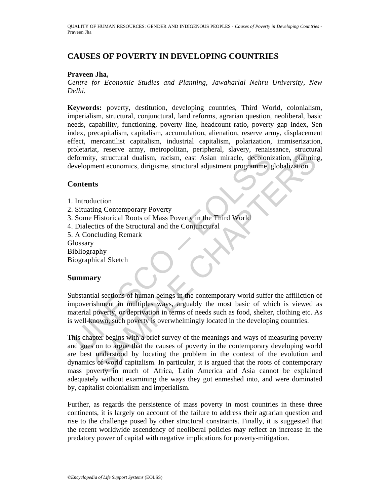QUALITY OF HUMAN RESOURCES: GENDER AND INDIGENOUS PEOPLES - *Causes of Poverty in Developing Countries* - Praveen Jha

# **CAUSES OF POVERTY IN DEVELOPING COUNTRIES**

#### **Praveen Jha,**

*Centre for Economic Studies and Planning, Jawaharlal Nehru University, New Delhi.* 

**Keywords:** poverty, destitution, developing countries, Third World, colonialism, imperialism, structural, conjunctural, land reforms, agrarian question, neoliberal, basic needs, capability, functioning, poverty line, headcount ratio, poverty gap index, Sen index, precapitalism, capitalism, accumulation, alienation, reserve army, displacement effect, mercantilist capitalism, industrial capitalism, polarization, immiserization, proletariat, reserve army, metropolitan, peripheral, slavery, renaissance, structural deformity, structural dualism, racism, east Asian miracle, decolonization, planning, development economics, dirigisme, structural adjustment programme, globalization.

### **Contents**

- 1. Introduction
- 2. Situating Contemporary Poverty
- 3. Some Historical Roots of Mass Poverty in the Third World
- 4. Dialectics of the Structural and the Conjunctural
- 5. A Concluding Remark

Glossary

Bibliography

Biographical Sketch

### **Summary**

Content, receiver and dualism, receiver and dualism, receiver and marked, decolonial<br>evelopment economics, dirigisme, structural adjustment programme, g<br>
Contents<br>
Contents<br>
Untroduction<br>
Situating Contemporary Poverty<br>
So Substantial sections of human beings in the contemporary world suffer the affiliction of impoverishment in multiples ways, arguably the most basic of which is viewed as material poverty, or deprivation in terms of needs such as food, shelter, clothing etc. As is well-known, such poverty is overwhelmingly located in the developing countries.

et, reserve amny, incredioning, perspective, successive, successive, successive, successive, successive, successive, successive, planning contemporary Poverty in the Third World Historical Roots of Mass Poverty in the Thir This chapter begins with a brief survey of the meanings and ways of measuring poverty and goes on to argue that the causes of poverty in the contemporary developing world are best understood by locating the problem in the context of the evolution and dynamics of world capitalism. In particular, it is argued that the roots of contemporary mass poverty in much of Africa, Latin America and Asia cannot be explained adequately without examining the ways they got enmeshed into, and were dominated by, capitalist colonialism and imperialism.

Further, as regards the persistence of mass poverty in most countries in these three continents, it is largely on account of the failure to address their agrarian question and rise to the challenge posed by other structural constraints. Finally, it is suggested that the recent worldwide ascendency of neoliberal policies may reflect an increase in the predatory power of capital with negative implications for poverty-mitigation.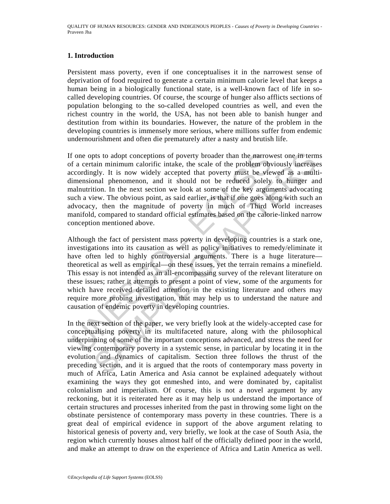## **1. Introduction**

Persistent mass poverty, even if one conceptualises it in the narrowest sense of deprivation of food required to generate a certain minimum calorie level that keeps a human being in a biologically functional state, is a well-known fact of life in socalled developing countries. Of course, the scourge of hunger also afflicts sections of population belonging to the so-called developed countries as well, and even the richest country in the world, the USA, has not been able to banish hunger and destitution from within its boundaries. However, the nature of the problem in the developing countries is immensely more serious, where millions suffer from endemic undernourishment and often die prematurely after a nasty and brutish life.

The neutral minimum calorific intake, the scale of the problem observation of a certain minimum calorific intake, the scale of the problem oby corordingly. It is now widely accepted that poverty must be view immensional ph the sto adopt conceptions of poverty broader than the narrowest one in term<br>ain minimum calorific intake, the scale of the problem obviously increased<br>gly. It is now widely accepted that poverty must be viewed as a mult<br>pa If one opts to adopt conceptions of poverty broader than the narrowest one in terms of a certain minimum calorific intake, the scale of the problem obviously increases accordingly. It is now widely accepted that poverty must be viewed as a multidimensional phenomenon, and it should not be reduced solely to hunger and malnutrition. In the next section we look at some of the key arguments advocating such a view. The obvious point, as said earlier, is that if one goes along with such an advocacy, then the magnitude of poverty in much of Third World increases manifold, compared to standard official estimates based on the calorie-linked narrow conception mentioned above.

Although the fact of persistent mass poverty in developing countries is a stark one, investigations into its causation as well as policy initiatives to remedy/eliminate it have often led to highly controversial arguments. There is a huge literature theoretical as well as empirical—on these issues, yet the terrain remains a minefield. This essay is not intended as an all-encompassing survey of the relevant literature on these issues; rather it attempts to present a point of view, some of the arguments for which have received detailed attention in the existing literature and others may require more probing investigation, that may help us to understand the nature and causation of endemic poverty in developing countries.

In the next section of the paper, we very briefly look at the widely-accepted case for conceptualising poverty in its multifaceted nature, along with the philosophical underpinning of some of the important conceptions advanced, and stress the need for viewing contemporary poverty in a systemic sense, in particular by locating it in the evolution and dynamics of capitalism. Section three follows the thrust of the preceding section, and it is argued that the roots of contemporary mass poverty in much of Africa, Latin America and Asia cannot be explained adequately without examining the ways they got enmeshed into, and were dominated by, capitalist colonialism and imperialism. Of course, this is not a novel argument by any reckoning, but it is reiterated here as it may help us understand the importance of certain structures and processes inherited from the past in throwing some light on the obstinate persistence of contemporary mass poverty in these countries. There is a great deal of empirical evidence in support of the above argument relating to historical genesis of poverty and, very briefly, we look at the case of South Asia, the region which currently houses almost half of the officially defined poor in the world, and make an attempt to draw on the experience of Africa and Latin America as well.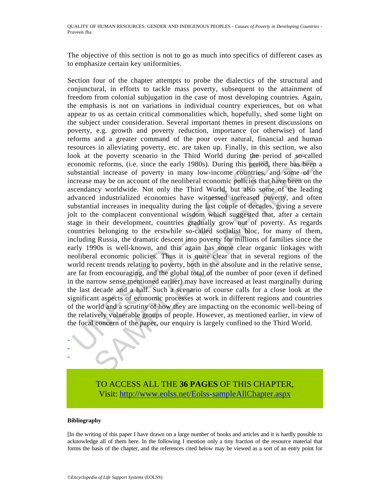The objective of this section is not to go as much into specifics of different cases as to emphasize certain key uniformities.

ook at the poverty scenario in the Third World during the periconomic reforms, (i.e. since the early 1980s). During this period, abstantial increase of poverty in many low-income countries, a crease may be on account of th the poverty scenario in the Third World during the period of so-calle<br>c reforms, (i.e. since the carly 1980s). During this period, there has been<br>in linearcase of poverty in many low-income contumites, and some of the<br>may Section four of the chapter attempts to probe the dialectics of the structural and conjunctural, in efforts to tackle mass poverty, subsequent to the attainment of freedom from colonial subjugation in the case of most developing countries. Again, the emphasis is not on variations in individual country experiences, but on what appear to us as certain critical commonalities which, hopefully, shed some light on the subject under consideration. Several important themes in present discussions on poverty, e.g. growth and poverty reduction, importance (or otherwise) of land reforms and a greater command of the poor over natural, financial and human resources in alleviating poverty, etc. are taken up. Finally, in this section, we also look at the poverty scenario in the Third World during the period of so-called economic reforms, (i.e. since the early 1980s). During this period, there has been a substantial increase of poverty in many low-income countries, and some of the increase may be on account of the neoliberal economic policies that have been on the ascendancy worldwide. Not only the Third World, but also some of the leading advanced industrialized economies have witnessed increased poverty, and often substantial increases in inequality during the last couple of decades, giving a severe jolt to the complacent conventional wisdom which suggested that, after a certain stage in their development, countries gradually grow out of poverty. As regards countries belonging to the erstwhile so-called socialist bloc, for many of them, including Russia, the dramatic descent into poverty for millions of families since the early 1990s is well-known, and this again has some clear organic linkages with neoliberal economic policies. Thus it is quite clear that in several regions of the world recent trends relating to poverty, both in the absolute and in the relative sense, are far from encouraging, and the global total of the number of poor (even if defined in the narrow sense mentioned earlier) may have increased at least marginally during the last decade and a half. Such a scenario of course calls for a close look at the significant aspects of economic processes at work in different regions and countries of the world and a scrutiny of how they are impacting on the economic well-being of the relatively vulnerable groups of people. However, as mentioned earlier, in view of the focal concern of the paper, our enquiry is largely confined to the Third World.



#### **Bibliography**

- - -

[In the writing of this paper I have drawn on a large number of books and articles and it is hardly possible to acknowledge all of them here. In the following I mention only a tiny fraction of the resource material that forms the basis of the chapter, and the references cited below may be viewed as a sort of an entry point for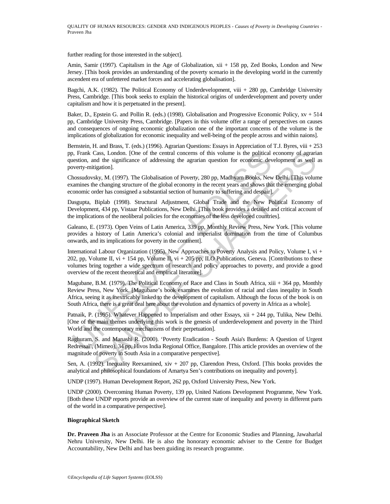further reading for those interested in the subject].

Amin, Samir (1997). Capitalism in the Age of Globalization, xii + 158 pp, Zed Books, London and New Jersey. [This book provides an understanding of the poverty scenario in the developing world in the currently ascendent era of unfettered market forces and accelerating globalisation].

Bagchi, A.K. (1982). The Political Economy of Underdevelopment, viii + 280 pp, Cambridge University Press, Cambridge. [This book seeks to explain the historical origins of underdevelopment and poverty under capitalism and how it is perpetuated in the present].

Baker, D., Epstein G. and Pollin R. (eds.) (1998). Globalisation and Progressive Economic Policy, xv + 514 pp, Cambridge University Press, Cambridge. [Papers in this volume offer a range of perspectives on causes and consequences of ongoing economic globalization one of the important concerns of the volume is the implications of globalization for economic inequality and well-being of the people across and within naions].

Bernstein, H. and Brass, T. (eds.) (1996). Agrarian Questions: Essays in Appreciation of T.J. Byres, viii + 253 pp, Frank Cass, London. [One of the central concerns of this volume is the political economy of agrarian question, and the significance of addressing the agrarian question for economic development as well as poverty-mitigation].

Chossudovsky, M. (1997). The Globalisation of Povert*y*, 280 pp, Madhyam Books, New Delhi. [This volume examines the changing structure of the global economy in the recent years and shows that the emerging global economic order has consigned a substantial section of humanity to suffering and despair].

Dasgupta, Biplab (1998). Structural Adjustment, Global Trade and the New Political Economy of Development, 434 pp, Vistaar Publications, New Delhi. [This book provides a detailed and critical account of the implications of the neoliberal policies for the economies of the less developed countries].

Galeano, E. (1973). Open Veins of Latin America, 339 pp, Monthly Review Press, New York. [This volume provides a history of Latin America's colonial and imperialist domination from the time of Columbus onwards, and its implications for poverty in the continent].

1, Frank Cass, London. [One of the central concerns of this volume is the political<br>existion, and the significance of addressing the agrarian question for economic dev<br>verty-mitigation].<br>Mossudovsky, M. (1997). The Globali Cass, London. [One of the central concerns of this volume is the political economy of agrariational<br>case, London. [One of the central concerns of this volume is the political economy of agrariatigation].<br>Sky, M. (1997). Th International Labour Organization (1995). New Approaches to Poverty Analysis and Policy, Volume I, vi + 202, pp, Volume II, vi + 154 pp, Volume II, vi + 205 pp, ILO Publications, Geneva. [Contributions to these volumes bring together a wide spectrum of research and policy approaches to poverty, and provide a good overview of the recent theoretical and empirical literature].

Magubane, B.M. (1979). The Political Economy of Race and Class in South Africa, xiii + 364 pp, Monthly Review Press, New York. [Magubane's book examines the evolution of racial and class ineqality in South Africa, seeing it as inextricably linked to the development of capitalism. Although the focus of the book is on South Africa, there is a great deal here about the evolution and dynamics of poverty in Africa as a whole].

Patnaik, P. (1995). Whatever Happened to Imperialism and other Essays, xii + 244 pp, Tulika, New Delhi. [One of the main themes underlying this work is the genesis of underdevelopment and poverty in the Third World and the contemporary mechanisms of their perpetuation].

Raghuram, S. and Manashi R. (2000). 'Poverty Eradication - South Asia's Burdens: A Question of Urgent Redressal', (Mimeo), 34 pp, Hivos India Regional Office, Bangalore. [This article provides an overview of the magnitude of poverty in South Asia in a comparative perspective].

Sen, A. (1992). Inequality Reexamined, xiv + 207 pp, Clarendon Press, Oxford. [This books provides the analytical and philosophical foundations of Amartya Sen's contributions on inequality and poverty].

UNDP (1997). Human Development Report, 262 pp, Oxford University Press, New York.

UNDP (2000). Overcoming Human Poverty, 139 pp, United Nations Development Programme, New York. [Both these UNDP reports provide an overview of the current state of inequality and poverty in different parts of the world in a comparative perspective].

#### **Biographical Sketch**

**Dr. Praveen Jha** is an Associate Professor at the Centre for Economic Studies and Planning, Jawaharlal Nehru University, New Delhi. He is also the honorary economic adviser to the Centre for Budget Accountability, New Delhi and has been guiding its research programme.